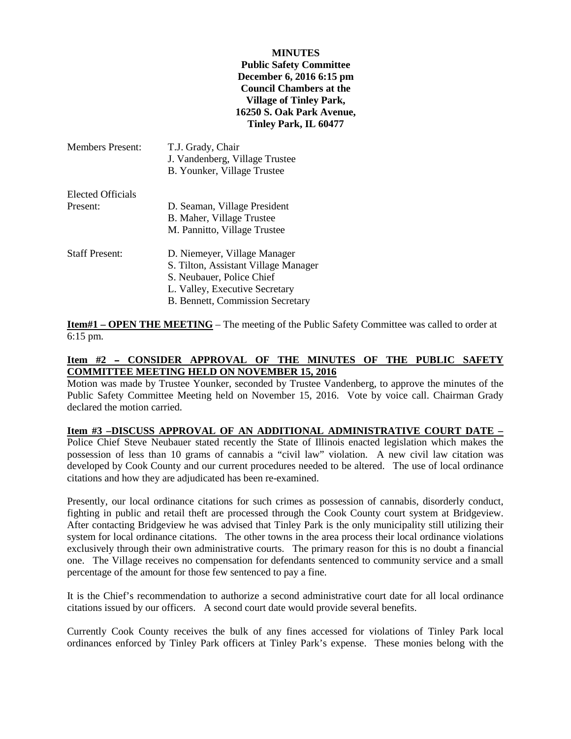#### **MINUTES**

### **Public Safety Committee December 6, 2016 6:15 pm Council Chambers at the Village of Tinley Park, 16250 S. Oak Park Avenue, Tinley Park, IL 60477**

| <b>Members Present:</b> | T.J. Grady, Chair<br>J. Vandenberg, Village Trustee<br>B. Younker, Village Trustee |
|-------------------------|------------------------------------------------------------------------------------|
| Elected Officials       |                                                                                    |
| Present:                | D. Seaman, Village President                                                       |
|                         | B. Maher, Village Trustee                                                          |
|                         | M. Pannitto, Village Trustee                                                       |
| <b>Staff Present:</b>   | D. Niemeyer, Village Manager                                                       |
|                         | S. Tilton, Assistant Village Manager                                               |
|                         | S. Neubauer, Police Chief                                                          |
|                         | L. Valley, Executive Secretary                                                     |
|                         | B. Bennett, Commission Secretary                                                   |

**Item#1 – OPEN THE MEETING** – The meeting of the Public Safety Committee was called to order at 6:15 pm.

### Item #2 - CONSIDER APPROVAL OF THE MINUTES OF THE PUBLIC SAFETY **COMMITTEE MEETING HELD ON NOVEMBER 15, 2016**

Motion was made by Trustee Younker, seconded by Trustee Vandenberg, to approve the minutes of the Public Safety Committee Meeting held on November 15, 2016. Vote by voice call. Chairman Grady declared the motion carried.

# **Item #3 –DISCUSS APPROVAL OF AN ADDITIONAL ADMINISTRATIVE COURT DATE –**

Police Chief Steve Neubauer stated recently the State of Illinois enacted legislation which makes the possession of less than 10 grams of cannabis a "civil law" violation. A new civil law citation was developed by Cook County and our current procedures needed to be altered. The use of local ordinance citations and how they are adjudicated has been re-examined.

Presently, our local ordinance citations for such crimes as possession of cannabis, disorderly conduct, fighting in public and retail theft are processed through the Cook County court system at Bridgeview. After contacting Bridgeview he was advised that Tinley Park is the only municipality still utilizing their system for local ordinance citations. The other towns in the area process their local ordinance violations exclusively through their own administrative courts. The primary reason for this is no doubt a financial one. The Village receives no compensation for defendants sentenced to community service and a small percentage of the amount for those few sentenced to pay a fine.

It is the Chief's recommendation to authorize a second administrative court date for all local ordinance citations issued by our officers. A second court date would provide several benefits.

Currently Cook County receives the bulk of any fines accessed for violations of Tinley Park local ordinances enforced by Tinley Park officers at Tinley Park's expense. These monies belong with the